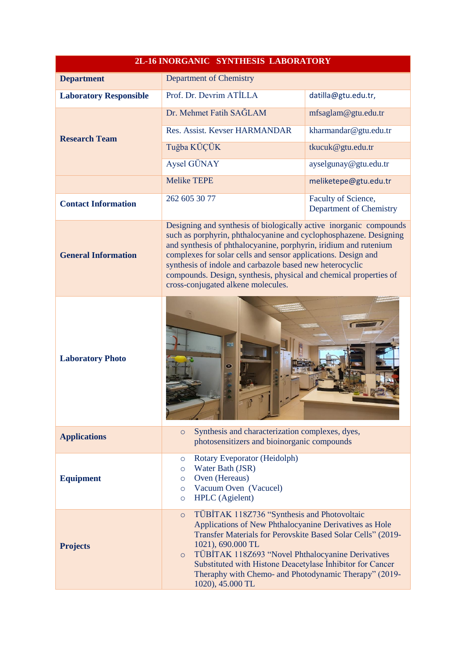|                               | 2L-16 INORGANIC SYNTHESIS LABORATORY                                                                                                                                                                                                                                                                                                                                                                                                                |                                                |
|-------------------------------|-----------------------------------------------------------------------------------------------------------------------------------------------------------------------------------------------------------------------------------------------------------------------------------------------------------------------------------------------------------------------------------------------------------------------------------------------------|------------------------------------------------|
| <b>Department</b>             | Department of Chemistry                                                                                                                                                                                                                                                                                                                                                                                                                             |                                                |
| <b>Laboratory Responsible</b> | Prof. Dr. Devrim ATİLLA                                                                                                                                                                                                                                                                                                                                                                                                                             | datilla@gtu.edu.tr,                            |
|                               | Dr. Mehmet Fatih SAĞLAM                                                                                                                                                                                                                                                                                                                                                                                                                             | mfsaglam@gtu.edu.tr                            |
| <b>Research Team</b>          | Res. Assist. Kevser HARMANDAR                                                                                                                                                                                                                                                                                                                                                                                                                       | kharmandar@gtu.edu.tr                          |
|                               | Tuğba KÜÇÜK                                                                                                                                                                                                                                                                                                                                                                                                                                         | tkucuk@gtu.edu.tr                              |
|                               | Aysel GÜNAY                                                                                                                                                                                                                                                                                                                                                                                                                                         | ayselgunay@gtu.edu.tr                          |
|                               | <b>Melike TEPE</b>                                                                                                                                                                                                                                                                                                                                                                                                                                  | meliketepe@gtu.edu.tr                          |
| <b>Contact Information</b>    | 262 605 30 77                                                                                                                                                                                                                                                                                                                                                                                                                                       | Faculty of Science,<br>Department of Chemistry |
| <b>General Information</b>    | Designing and synthesis of biologically active inorganic compounds<br>such as porphyrin, phthalocyanine and cyclophosphazene. Designing<br>and synthesis of phthalocyanine, porphyrin, iridium and rutenium<br>complexes for solar cells and sensor applications. Design and<br>synthesis of indole and carbazole based new heterocyclic<br>compounds. Design, synthesis, physical and chemical properties of<br>cross-conjugated alkene molecules. |                                                |
| <b>Laboratory Photo</b>       | ೯                                                                                                                                                                                                                                                                                                                                                                                                                                                   |                                                |
| <b>Applications</b>           | Synthesis and characterization complexes, dyes,<br>$\circ$<br>photosensitizers and bioinorganic compounds                                                                                                                                                                                                                                                                                                                                           |                                                |
| <b>Equipment</b>              | Rotary Eveporator (Heidolph)<br>O<br>Water Bath (JSR)<br>$\circ$<br>Oven (Hereaus)<br>$\circ$<br>Vacuum Oven (Vacucel)<br>$\circ$<br><b>HPLC</b> (Agielent)<br>$\circ$                                                                                                                                                                                                                                                                              |                                                |
| <b>Projects</b>               | TÜBİTAK 118Z736 "Synthesis and Photovoltaic<br>$\circ$<br>Applications of New Phthalocyanine Derivatives as Hole<br>Transfer Materials for Perovskite Based Solar Cells" (2019-<br>1021), 690.000 TL<br>TÜBİTAK 118Z693 "Novel Phthalocyanine Derivatives<br>$\circ$<br>Substituted with Histone Deacetylase Inhibitor for Cancer<br>Theraphy with Chemo- and Photodynamic Therapy" (2019-<br>1020), 45.000 TL                                      |                                                |